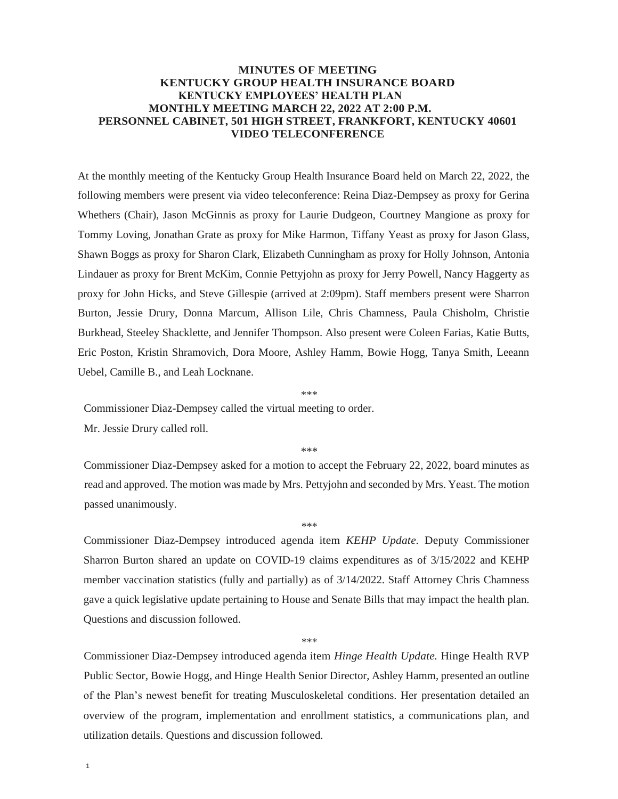## **MINUTES OF MEETING KENTUCKY GROUP HEALTH INSURANCE BOARD KENTUCKY EMPLOYEES' HEALTH PLAN MONTHLY MEETING MARCH 22, 2022 AT 2:00 P.M. PERSONNEL CABINET, 501 HIGH STREET, FRANKFORT, KENTUCKY 40601 VIDEO TELECONFERENCE**

At the monthly meeting of the Kentucky Group Health Insurance Board held on March 22, 2022, the following members were present via video teleconference: Reina Diaz-Dempsey as proxy for Gerina Whethers (Chair), Jason McGinnis as proxy for Laurie Dudgeon, Courtney Mangione as proxy for Tommy Loving, Jonathan Grate as proxy for Mike Harmon, Tiffany Yeast as proxy for Jason Glass, Shawn Boggs as proxy for Sharon Clark, Elizabeth Cunningham as proxy for Holly Johnson, Antonia Lindauer as proxy for Brent McKim, Connie Pettyjohn as proxy for Jerry Powell, Nancy Haggerty as proxy for John Hicks, and Steve Gillespie (arrived at 2:09pm). Staff members present were Sharron Burton, Jessie Drury, Donna Marcum, Allison Lile, Chris Chamness, Paula Chisholm, Christie Burkhead, Steeley Shacklette, and Jennifer Thompson. Also present were Coleen Farias, Katie Butts, Eric Poston, Kristin Shramovich, Dora Moore, Ashley Hamm, Bowie Hogg, Tanya Smith, Leeann Uebel, Camille B., and Leah Locknane.

\*\*\*

Commissioner Diaz-Dempsey called the virtual meeting to order.

Mr. Jessie Drury called roll.

\*\*\*

Commissioner Diaz-Dempsey asked for a motion to accept the February 22, 2022, board minutes as read and approved. The motion was made by Mrs. Pettyjohn and seconded by Mrs. Yeast. The motion passed unanimously.

\*\*\*

Commissioner Diaz-Dempsey introduced agenda item *KEHP Update.* Deputy Commissioner Sharron Burton shared an update on COVID-19 claims expenditures as of 3/15/2022 and KEHP member vaccination statistics (fully and partially) as of 3/14/2022. Staff Attorney Chris Chamness gave a quick legislative update pertaining to House and Senate Bills that may impact the health plan. Questions and discussion followed.

\*\*\*

Commissioner Diaz-Dempsey introduced agenda item *Hinge Health Update.* Hinge Health RVP Public Sector, Bowie Hogg, and Hinge Health Senior Director, Ashley Hamm, presented an outline of the Plan's newest benefit for treating Musculoskeletal conditions. Her presentation detailed an overview of the program, implementation and enrollment statistics, a communications plan, and utilization details. Questions and discussion followed.